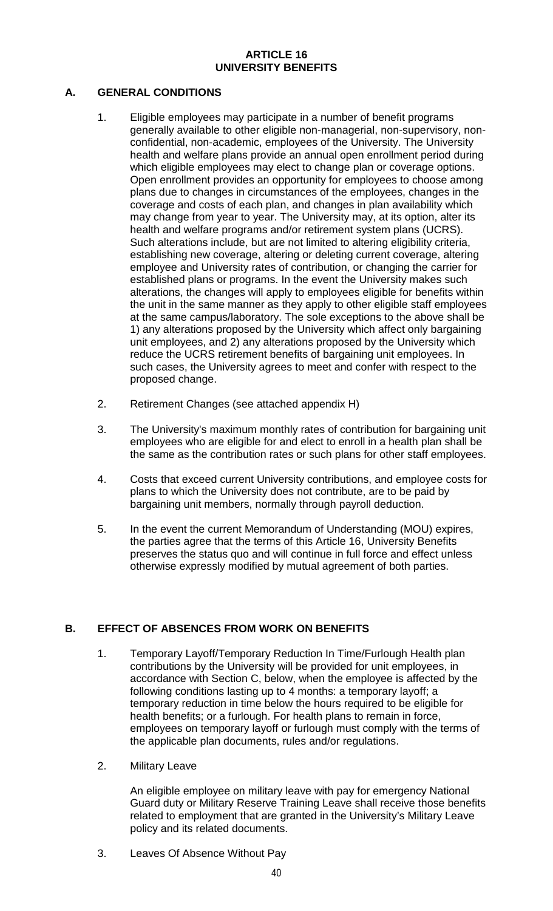## **ARTICLE 16 UNIVERSITY BENEFITS**

## **A. GENERAL CONDITIONS**

- 1. Eligible employees may participate in a number of benefit programs generally available to other eligible non-managerial, non-supervisory, nonconfidential, non-academic, employees of the University. The University health and welfare plans provide an annual open enrollment period during which eligible employees may elect to change plan or coverage options. Open enrollment provides an opportunity for employees to choose among plans due to changes in circumstances of the employees, changes in the coverage and costs of each plan, and changes in plan availability which may change from year to year. The University may, at its option, alter its health and welfare programs and/or retirement system plans (UCRS). Such alterations include, but are not limited to altering eligibility criteria, establishing new coverage, altering or deleting current coverage, altering employee and University rates of contribution, or changing the carrier for established plans or programs. In the event the University makes such alterations, the changes will apply to employees eligible for benefits within the unit in the same manner as they apply to other eligible staff employees at the same campus/laboratory. The sole exceptions to the above shall be 1) any alterations proposed by the University which affect only bargaining unit employees, and 2) any alterations proposed by the University which reduce the UCRS retirement benefits of bargaining unit employees. In such cases, the University agrees to meet and confer with respect to the proposed change.
- 2. Retirement Changes (see attached appendix H)
- 3. The University's maximum monthly rates of contribution for bargaining unit employees who are eligible for and elect to enroll in a health plan shall be the same as the contribution rates or such plans for other staff employees.
- 4. Costs that exceed current University contributions, and employee costs for plans to which the University does not contribute, are to be paid by bargaining unit members, normally through payroll deduction.
- 5. In the event the current Memorandum of Understanding (MOU) expires, the parties agree that the terms of this Article 16, University Benefits preserves the status quo and will continue in full force and effect unless otherwise expressly modified by mutual agreement of both parties.

## **B. EFFECT OF ABSENCES FROM WORK ON BENEFITS**

- 1. Temporary Layoff/Temporary Reduction In Time/Furlough Health plan contributions by the University will be provided for unit employees, in accordance with Section C, below, when the employee is affected by the following conditions lasting up to 4 months: a temporary layoff; a temporary reduction in time below the hours required to be eligible for health benefits; or a furlough. For health plans to remain in force, employees on temporary layoff or furlough must comply with the terms of the applicable plan documents, rules and/or regulations.
- 2. Military Leave

An eligible employee on military leave with pay for emergency National Guard duty or Military Reserve Training Leave shall receive those benefits related to employment that are granted in the University's Military Leave policy and its related documents.

3. Leaves Of Absence Without Pay